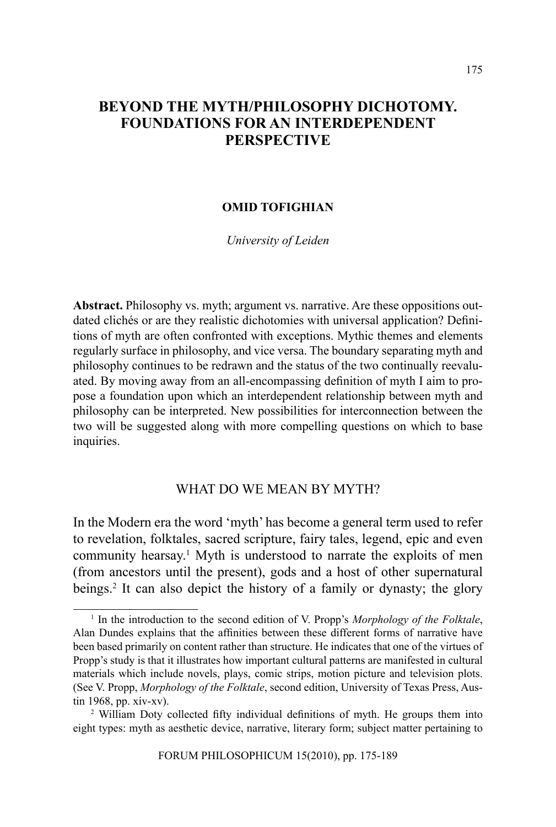# **BEYOND THE MYTH/PHILOSOPHY DICHOTOMY. FOUNDATIONS FOR AN INTERDEPENDENT PERSPECTIVE**

### **OMID TOFIGHIAN**

*University of Leiden*

**Abstract.** Philosophy vs. myth; argument vs. narrative. Are these oppositions outdated clichés or are they realistic dichotomies with universal application? Definitions of myth are often confronted with exceptions. Mythic themes and elements regularly surface in philosophy, and vice versa. The boundary separating myth and philosophy continues to be redrawn and the status of the two continually reevaluated. By moving away from an all-encompassing definition of myth I aim to propose a foundation upon which an interdependent relationship between myth and philosophy can be interpreted. New possibilities for interconnection between the two will be suggested along with more compelling questions on which to base inquiries.

## WHAT DO WE MEAN BY MYTH?

In the Modern era the word 'myth' has become a general term used to refer to revelation, folktales, sacred scripture, fairy tales, legend, epic and even community hearsay.<sup>1</sup> Myth is understood to narrate the exploits of men (from ancestors until the present), gods and a host of other supernatural beings.<sup>2</sup> It can also depict the history of a family or dynasty; the glory

<sup>&</sup>lt;sup>1</sup> In the introduction to the second edition of V. Propp's *Morphology of the Folktale*, Alan Dundes explains that the affinities between these different forms of narrative have been based primarily on content rather than structure. He indicates that one of the virtues of Propp's study is that it illustrates how important cultural patterns are manifested in cultural materials which include novels, plays, comic strips, motion picture and television plots. (See V. Propp, *Morphology of the Folktale*, second edition, University of Texas Press, Austin 1968, pp. xiv-xv).

<sup>&</sup>lt;sup>2</sup> William Doty collected fifty individual definitions of myth. He groups them into eight types: myth as aesthetic device, narrative, literary form; subject matter pertaining to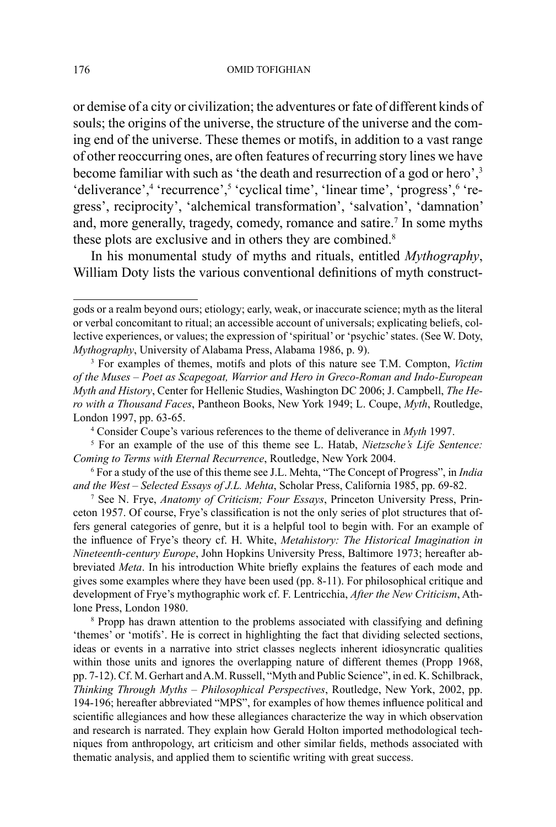or demise of a city or civilization; the adventures or fate of different kinds of souls; the origins of the universe, the structure of the universe and the coming end of the universe. These themes or motifs, in addition to a vast range of other reoccurring ones, are often features of recurring story lines we have become familiar with such as 'the death and resurrection of a god or hero',<sup>3</sup> 'deliverance',<sup>4</sup> 'recurrence',<sup>5</sup> 'cyclical time', 'linear time', 'progress',<sup>6</sup> 'regress', reciprocity', 'alchemical transformation', 'salvation', 'damnation' and, more generally, tragedy, comedy, romance and satire.<sup>7</sup> In some myths these plots are exclusive and in others they are combined.<sup>8</sup>

In his monumental study of myths and rituals, entitled *Mythography*, William Doty lists the various conventional definitions of myth construct-

gods or a realm beyond ours; etiology; early, weak, or inaccurate science; myth as the literal or verbal concomitant to ritual; an accessible account of universals; explicating beliefs, collective experiences, or values; the expression of 'spiritual' or 'psychic' states. (See W. Doty, *Mythography*, University of Alabama Press, Alabama 1986, p. 9).

<sup>3</sup> For examples of themes, motifs and plots of this nature see T.M. Compton, *Victim of the Muses – Poet as Scapegoat, Warrior and Hero in Greco-Roman and Indo-European Myth and History*, Center for Hellenic Studies, Washington DC 2006; J. Campbell, *The Hero with a Thousand Faces*, Pantheon Books, New York 1949; L. Coupe, *Myth*, Routledge, London 1997, pp. 63-65.

<sup>4</sup> Consider Coupe's various references to the theme of deliverance in *Myth* 1997.

<sup>5</sup> For an example of the use of this theme see L. Hatab, *Nietzsche's Life Sentence: Coming to Terms with Eternal Recurrence*, Routledge, New York 2004.

<sup>6</sup> For a study of the use of this theme see J.L. Mehta, "The Concept of Progress", in *India and the West – Selected Essays of J.L. Mehta*, Scholar Press, California 1985, pp. 69-82.

<sup>7</sup> See N. Frye, *Anatomy of Criticism; Four Essays*, Princeton University Press, Princeton 1957. Of course, Frye's classification is not the only series of plot structures that offers general categories of genre, but it is a helpful tool to begin with. For an example of the influence of Frye's theory cf. H. White, *Metahistory: The Historical Imagination in Nineteenth-century Europe*, John Hopkins University Press, Baltimore 1973; hereafter abbreviated *Meta*. In his introduction White briefly explains the features of each mode and gives some examples where they have been used (pp. 8-11). For philosophical critique and development of Frye's mythographic work cf. F. Lentricchia, *After the New Criticism*, Athlone Press, London 1980.

<sup>&</sup>lt;sup>8</sup> Propp has drawn attention to the problems associated with classifying and defining 'themes' or 'motifs'. He is correct in highlighting the fact that dividing selected sections, ideas or events in a narrative into strict classes neglects inherent idiosyncratic qualities within those units and ignores the overlapping nature of different themes (Propp 1968, pp. 7-12). Cf. M. Gerhart and A.M. Russell, "Myth and Public Science", in ed. K. Schilbrack, *Thinking Through Myths – Philosophical Perspectives*, Routledge, New York, 2002, pp. 194-196; hereafter abbreviated "MPS", for examples of how themes influence political and scientific allegiances and how these allegiances characterize the way in which observation and research is narrated. They explain how Gerald Holton imported methodological techniques from anthropology, art criticism and other similar fields, methods associated with thematic analysis, and applied them to scientific writing with great success.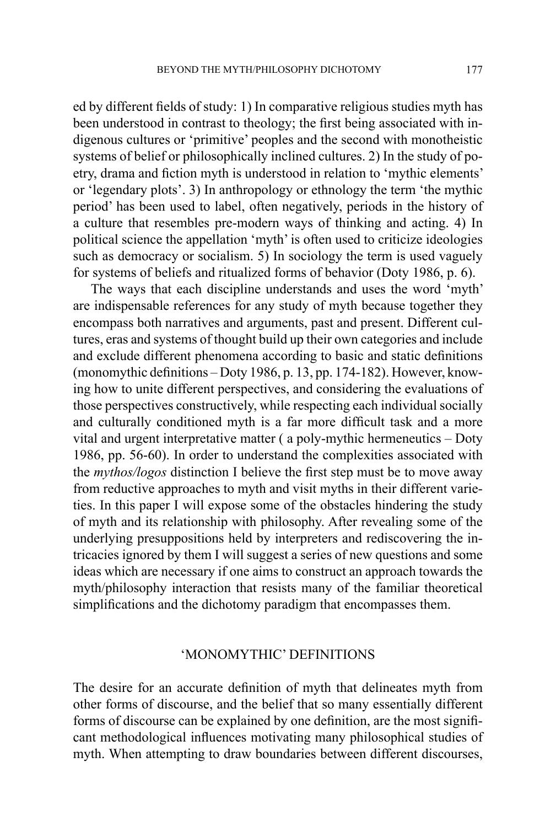ed by different fields of study: 1) In comparative religious studies myth has been understood in contrast to theology; the first being associated with indigenous cultures or 'primitive' peoples and the second with monotheistic systems of belief or philosophically inclined cultures. 2) In the study of poetry, drama and fiction myth is understood in relation to 'mythic elements' or 'legendary plots'. 3) In anthropology or ethnology the term 'the mythic period' has been used to label, often negatively, periods in the history of a culture that resembles pre-modern ways of thinking and acting. 4) In political science the appellation 'myth' is often used to criticize ideologies such as democracy or socialism. 5) In sociology the term is used vaguely for systems of beliefs and ritualized forms of behavior (Doty 1986, p. 6).

The ways that each discipline understands and uses the word 'myth' are indispensable references for any study of myth because together they encompass both narratives and arguments, past and present. Different cultures, eras and systems of thought build up their own categories and include and exclude different phenomena according to basic and static definitions (monomythic definitions – Doty 1986, p. 13, pp. 174-182). However, knowing how to unite different perspectives, and considering the evaluations of those perspectives constructively, while respecting each individual socially and culturally conditioned myth is a far more difficult task and a more vital and urgent interpretative matter ( a poly-mythic hermeneutics – Doty 1986, pp. 56-60). In order to understand the complexities associated with the *mythos/logos* distinction I believe the first step must be to move away from reductive approaches to myth and visit myths in their different varieties. In this paper I will expose some of the obstacles hindering the study of myth and its relationship with philosophy. After revealing some of the underlying presuppositions held by interpreters and rediscovering the intricacies ignored by them I will suggest a series of new questions and some ideas which are necessary if one aims to construct an approach towards the myth/philosophy interaction that resists many of the familiar theoretical simplifications and the dichotomy paradigm that encompasses them.

## 'MONOMYTHIC' DEFINITIONS

The desire for an accurate definition of myth that delineates myth from other forms of discourse, and the belief that so many essentially different forms of discourse can be explained by one definition, are the most significant methodological influences motivating many philosophical studies of myth. When attempting to draw boundaries between different discourses,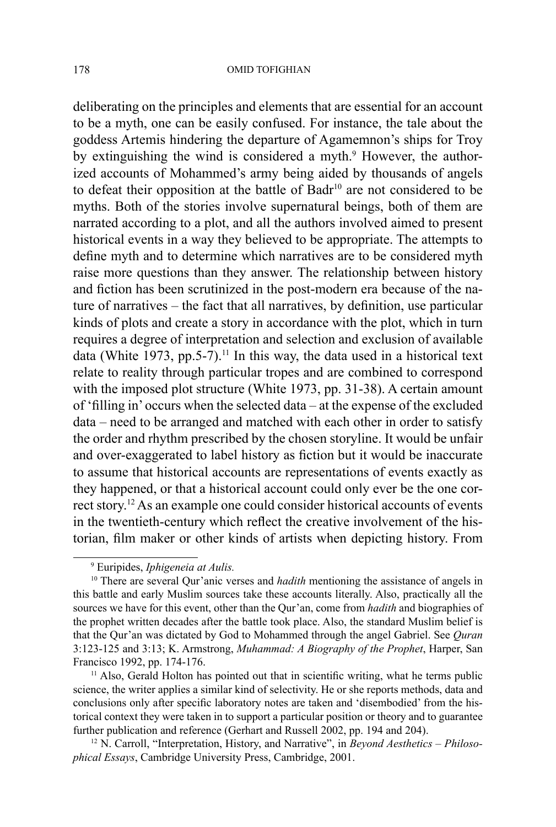deliberating on the principles and elements that are essential for an account to be a myth, one can be easily confused. For instance, the tale about the goddess Artemis hindering the departure of Agamemnon's ships for Troy by extinguishing the wind is considered a myth.<sup>9</sup> However, the authorized accounts of Mohammed's army being aided by thousands of angels to defeat their opposition at the battle of Badr<sup>10</sup> are not considered to be myths. Both of the stories involve supernatural beings, both of them are narrated according to a plot, and all the authors involved aimed to present historical events in a way they believed to be appropriate. The attempts to define myth and to determine which narratives are to be considered myth raise more questions than they answer. The relationship between history and fiction has been scrutinized in the post-modern era because of the nature of narratives – the fact that all narratives, by definition, use particular kinds of plots and create a story in accordance with the plot, which in turn requires a degree of interpretation and selection and exclusion of available data (White 1973, pp. 5-7).<sup>11</sup> In this way, the data used in a historical text relate to reality through particular tropes and are combined to correspond with the imposed plot structure (White 1973, pp. 31-38). A certain amount of 'filling in' occurs when the selected data – at the expense of the excluded data – need to be arranged and matched with each other in order to satisfy the order and rhythm prescribed by the chosen storyline. It would be unfair and over-exaggerated to label history as fiction but it would be inaccurate to assume that historical accounts are representations of events exactly as they happened, or that a historical account could only ever be the one correct story.12 As an example one could consider historical accounts of events in the twentieth-century which reflect the creative involvement of the historian, film maker or other kinds of artists when depicting history. From

<sup>9</sup> Euripides, *Iphigeneia at Aulis.*

<sup>&</sup>lt;sup>10</sup> There are several Qur'anic verses and *hadith* mentioning the assistance of angels in this battle and early Muslim sources take these accounts literally. Also, practically all the sources we have for this event, other than the Qur'an, come from *hadith* and biographies of the prophet written decades after the battle took place. Also, the standard Muslim belief is that the Qur'an was dictated by God to Mohammed through the angel Gabriel. See *Quran* 3:123-125 and 3:13; K. Armstrong, *Muhammad: A Biography of the Prophet*, Harper, San Francisco 1992, pp. 174-176.

<sup>&</sup>lt;sup>11</sup> Also, Gerald Holton has pointed out that in scientific writing, what he terms public science, the writer applies a similar kind of selectivity. He or she reports methods, data and conclusions only after specific laboratory notes are taken and 'disembodied' from the historical context they were taken in to support a particular position or theory and to guarantee further publication and reference (Gerhart and Russell 2002, pp. 194 and 204).

<sup>12</sup> N. Carroll, "Interpretation, History, and Narrative", in *Beyond Aesthetics – Philosophical Essays*, Cambridge University Press, Cambridge, 2001.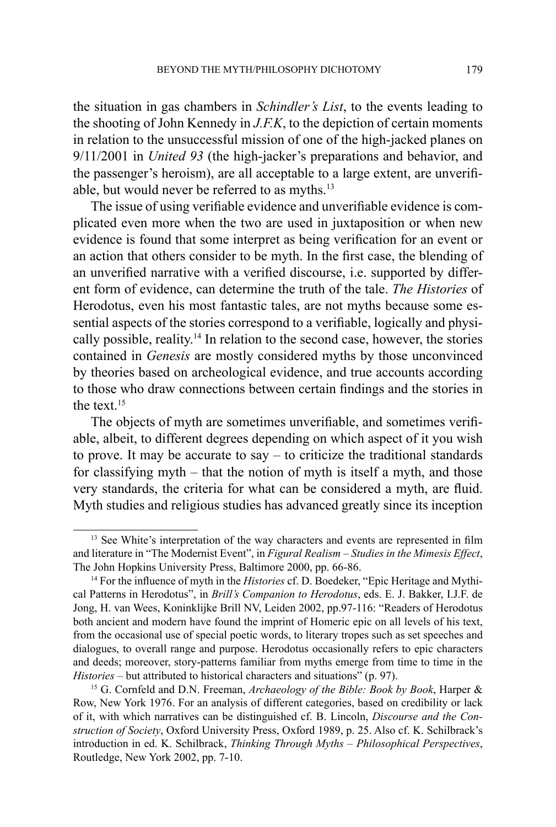the situation in gas chambers in *Schindler's List*, to the events leading to the shooting of John Kennedy in *J.F.K*, to the depiction of certain moments in relation to the unsuccessful mission of one of the high-jacked planes on 9/11/2001 in *United 93* (the high-jacker's preparations and behavior, and the passenger's heroism), are all acceptable to a large extent, are unverifiable, but would never be referred to as myths. $^{13}$ 

The issue of using verifiable evidence and unverifiable evidence is complicated even more when the two are used in juxtaposition or when new evidence is found that some interpret as being verification for an event or an action that others consider to be myth. In the first case, the blending of an unverified narrative with a verified discourse, i.e. supported by different form of evidence, can determine the truth of the tale. *The Histories* of Herodotus, even his most fantastic tales, are not myths because some essential aspects of the stories correspond to a verifiable, logically and physically possible, reality.14 In relation to the second case, however, the stories contained in *Genesis* are mostly considered myths by those unconvinced by theories based on archeological evidence, and true accounts according to those who draw connections between certain findings and the stories in the text.<sup>15</sup>

The objects of myth are sometimes unverifiable, and sometimes verifiable, albeit, to different degrees depending on which aspect of it you wish to prove. It may be accurate to say – to criticize the traditional standards for classifying myth – that the notion of myth is itself a myth, and those very standards, the criteria for what can be considered a myth, are fluid. Myth studies and religious studies has advanced greatly since its inception

<sup>&</sup>lt;sup>13</sup> See White's interpretation of the way characters and events are represented in film and literature in "The Modernist Event", in *Figural Realism – Studies in the Mimesis Effect*, The John Hopkins University Press, Baltimore 2000, pp. 66-86.

<sup>14</sup> For the influence of myth in the *Histories* cf. D. Boedeker, "Epic Heritage and Mythical Patterns in Herodotus", in *Brill's Companion to Herodotus*, eds. E. J. Bakker, I.J.F. de Jong, H. van Wees, Koninklijke Brill NV, Leiden 2002, pp.97-116: "Readers of Herodotus both ancient and modern have found the imprint of Homeric epic on all levels of his text, from the occasional use of special poetic words, to literary tropes such as set speeches and dialogues, to overall range and purpose. Herodotus occasionally refers to epic characters and deeds; moreover, story-patterns familiar from myths emerge from time to time in the *Histories* – but attributed to historical characters and situations" (p. 97).

<sup>15</sup> G. Cornfeld and D.N. Freeman, *Archaeology of the Bible: Book by Book*, Harper & Row, New York 1976. For an analysis of different categories, based on credibility or lack of it, with which narratives can be distinguished cf. B. Lincoln, *Discourse and the Construction of Society*, Oxford University Press, Oxford 1989, p. 25. Also cf. K. Schilbrack's introduction in ed. K. Schilbrack, *Thinking Through Myths – Philosophical Perspectives*, Routledge, New York 2002, pp. 7-10.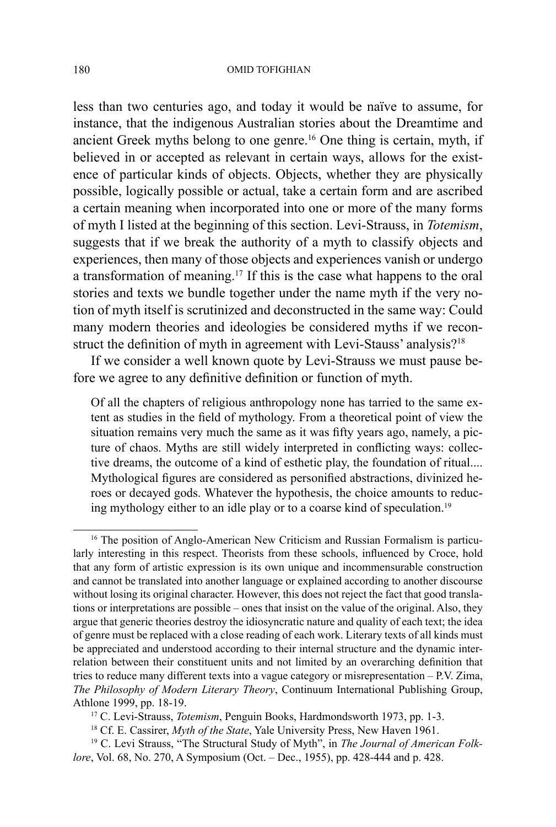#### 180 OMID TOFIGHIAN

less than two centuries ago, and today it would be naïve to assume, for instance, that the indigenous Australian stories about the Dreamtime and ancient Greek myths belong to one genre.<sup>16</sup> One thing is certain, myth, if believed in or accepted as relevant in certain ways, allows for the existence of particular kinds of objects. Objects, whether they are physically possible, logically possible or actual, take a certain form and are ascribed a certain meaning when incorporated into one or more of the many forms of myth I listed at the beginning of this section. Levi-Strauss, in *Totemism*, suggests that if we break the authority of a myth to classify objects and experiences, then many of those objects and experiences vanish or undergo a transformation of meaning.17 If this is the case what happens to the oral stories and texts we bundle together under the name myth if the very notion of myth itself is scrutinized and deconstructed in the same way: Could many modern theories and ideologies be considered myths if we reconstruct the definition of myth in agreement with Levi-Stauss' analysis?<sup>18</sup>

If we consider a well known quote by Levi-Strauss we must pause before we agree to any definitive definition or function of myth.

Of all the chapters of religious anthropology none has tarried to the same extent as studies in the field of mythology. From a theoretical point of view the situation remains very much the same as it was fifty years ago, namely, a picture of chaos. Myths are still widely interpreted in conflicting ways: collective dreams, the outcome of a kind of esthetic play, the foundation of ritual.... Mythological figures are considered as personified abstractions, divinized heroes or decayed gods. Whatever the hypothesis, the choice amounts to reducing mythology either to an idle play or to a coarse kind of speculation.19

<sup>&</sup>lt;sup>16</sup> The position of Anglo-American New Criticism and Russian Formalism is particularly interesting in this respect. Theorists from these schools, influenced by Croce, hold that any form of artistic expression is its own unique and incommensurable construction and cannot be translated into another language or explained according to another discourse without losing its original character. However, this does not reject the fact that good translations or interpretations are possible – ones that insist on the value of the original. Also, they argue that generic theories destroy the idiosyncratic nature and quality of each text; the idea of genre must be replaced with a close reading of each work. Literary texts of all kinds must be appreciated and understood according to their internal structure and the dynamic interrelation between their constituent units and not limited by an overarching definition that tries to reduce many different texts into a vague category or misrepresentation – P.V. Zima, *The Philosophy of Modern Literary Theory*, Continuum International Publishing Group, Athlone 1999, pp. 18-19.

<sup>17</sup> C. Levi-Strauss, *Totemism*, Penguin Books, Hardmondsworth 1973, pp. 1-3.

<sup>18</sup> Cf. E. Cassirer, *Myth of the State*, Yale University Press, New Haven 1961.

<sup>19</sup> C. Levi Strauss, "The Structural Study of Myth", in *The Journal of American Folklore*, Vol. 68, No. 270, A Symposium (Oct. – Dec., 1955), pp. 428-444 and p. 428.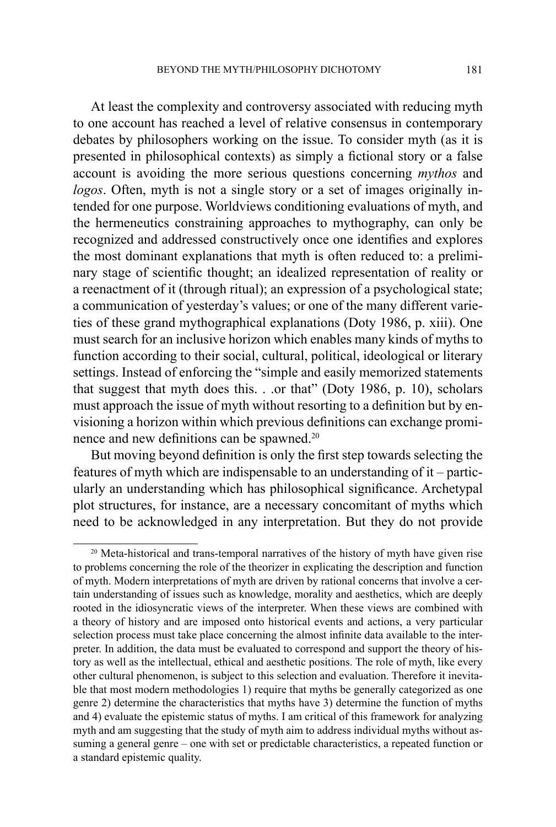At least the complexity and controversy associated with reducing myth to one account has reached a level of relative consensus in contemporary debates by philosophers working on the issue. To consider myth (as it is presented in philosophical contexts) as simply a fictional story or a false account is avoiding the more serious questions concerning *mythos* and *logos*. Often, myth is not a single story or a set of images originally intended for one purpose. Worldviews conditioning evaluations of myth, and the hermeneutics constraining approaches to mythography, can only be recognized and addressed constructively once one identifies and explores the most dominant explanations that myth is often reduced to: a preliminary stage of scientific thought; an idealized representation of reality or a reenactment of it (through ritual); an expression of a psychological state; a communication of yesterday's values; or one of the many different varieties of these grand mythographical explanations (Doty 1986, p. xiii). One must search for an inclusive horizon which enables many kinds of myths to function according to their social, cultural, political, ideological or literary settings. Instead of enforcing the "simple and easily memorized statements that suggest that myth does this. . .or that" (Doty 1986, p. 10), scholars must approach the issue of myth without resorting to a definition but by envisioning a horizon within which previous definitions can exchange prominence and new definitions can be spawned.<sup>20</sup>

But moving beyond definition is only the first step towards selecting the features of myth which are indispensable to an understanding of it – particularly an understanding which has philosophical significance. Archetypal plot structures, for instance, are a necessary concomitant of myths which need to be acknowledged in any interpretation. But they do not provide

<sup>&</sup>lt;sup>20</sup> Meta-historical and trans-temporal narratives of the history of myth have given rise to problems concerning the role of the theorizer in explicating the description and function of myth. Modern interpretations of myth are driven by rational concerns that involve a certain understanding of issues such as knowledge, morality and aesthetics, which are deeply rooted in the idiosyncratic views of the interpreter. When these views are combined with a theory of history and are imposed onto historical events and actions, a very particular selection process must take place concerning the almost infinite data available to the interpreter. In addition, the data must be evaluated to correspond and support the theory of history as well as the intellectual, ethical and aesthetic positions. The role of myth, like every other cultural phenomenon, is subject to this selection and evaluation. Therefore it inevitable that most modern methodologies 1) require that myths be generally categorized as one genre 2) determine the characteristics that myths have 3) determine the function of myths and 4) evaluate the epistemic status of myths. I am critical of this framework for analyzing myth and am suggesting that the study of myth aim to address individual myths without assuming a general genre – one with set or predictable characteristics, a repeated function or a standard epistemic quality.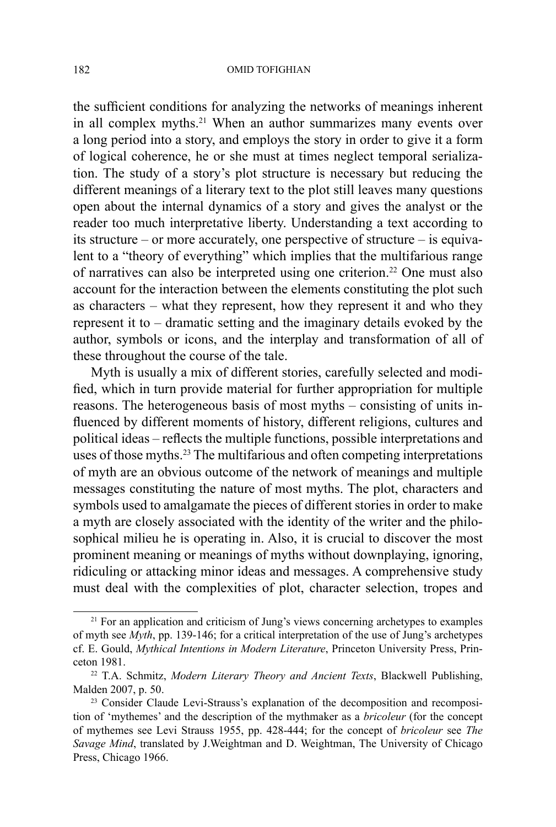the sufficient conditions for analyzing the networks of meanings inherent in all complex myths.<sup>21</sup> When an author summarizes many events over a long period into a story, and employs the story in order to give it a form of logical coherence, he or she must at times neglect temporal serialization. The study of a story's plot structure is necessary but reducing the different meanings of a literary text to the plot still leaves many questions open about the internal dynamics of a story and gives the analyst or the reader too much interpretative liberty. Understanding a text according to its structure – or more accurately, one perspective of structure – is equivalent to a "theory of everything" which implies that the multifarious range of narratives can also be interpreted using one criterion.22 One must also account for the interaction between the elements constituting the plot such as characters – what they represent, how they represent it and who they represent it to – dramatic setting and the imaginary details evoked by the author, symbols or icons, and the interplay and transformation of all of these throughout the course of the tale.

Myth is usually a mix of different stories, carefully selected and modified, which in turn provide material for further appropriation for multiple reasons. The heterogeneous basis of most myths – consisting of units influenced by different moments of history, different religions, cultures and political ideas – reflects the multiple functions, possible interpretations and uses of those myths.23 The multifarious and often competing interpretations of myth are an obvious outcome of the network of meanings and multiple messages constituting the nature of most myths. The plot, characters and symbols used to amalgamate the pieces of different stories in order to make a myth are closely associated with the identity of the writer and the philosophical milieu he is operating in. Also, it is crucial to discover the most prominent meaning or meanings of myths without downplaying, ignoring, ridiculing or attacking minor ideas and messages. A comprehensive study must deal with the complexities of plot, character selection, tropes and

<sup>&</sup>lt;sup>21</sup> For an application and criticism of Jung's views concerning archetypes to examples of myth see *Myth*, pp. 139-146; for a critical interpretation of the use of Jung's archetypes cf. E. Gould, *Mythical Intentions in Modern Literature*, Princeton University Press, Princeton 1981.

<sup>22</sup> T.A. Schmitz, *Modern Literary Theory and Ancient Texts*, Blackwell Publishing, Malden 2007, p. 50.

<sup>&</sup>lt;sup>23</sup> Consider Claude Levi-Strauss's explanation of the decomposition and recomposition of 'mythemes' and the description of the mythmaker as a *bricoleur* (for the concept of mythemes see Levi Strauss 1955, pp. 428-444; for the concept of *bricoleur* see *The Savage Mind*, translated by J.Weightman and D. Weightman, The University of Chicago Press, Chicago 1966.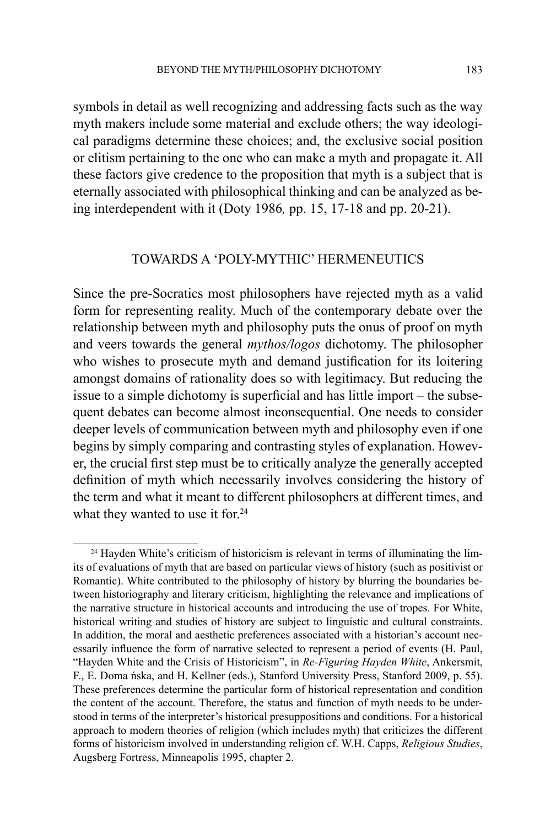symbols in detail as well recognizing and addressing facts such as the way myth makers include some material and exclude others; the way ideological paradigms determine these choices; and, the exclusive social position or elitism pertaining to the one who can make a myth and propagate it. All these factors give credence to the proposition that myth is a subject that is eternally associated with philosophical thinking and can be analyzed as being interdependent with it (Doty 1986*,* pp. 15, 17-18 and pp. 20-21).

## TOWARDS A 'POLY-MYTHIC' HERMENEUTICS

Since the pre-Socratics most philosophers have rejected myth as a valid form for representing reality. Much of the contemporary debate over the relationship between myth and philosophy puts the onus of proof on myth and veers towards the general *mythos/logos* dichotomy. The philosopher who wishes to prosecute myth and demand justification for its loitering amongst domains of rationality does so with legitimacy. But reducing the issue to a simple dichotomy is superficial and has little import – the subsequent debates can become almost inconsequential. One needs to consider deeper levels of communication between myth and philosophy even if one begins by simply comparing and contrasting styles of explanation. However, the crucial first step must be to critically analyze the generally accepted definition of myth which necessarily involves considering the history of the term and what it meant to different philosophers at different times, and what they wanted to use it for.<sup>24</sup>

 $24$  Hayden White's criticism of historicism is relevant in terms of illuminating the limits of evaluations of myth that are based on particular views of history (such as positivist or Romantic). White contributed to the philosophy of history by blurring the boundaries between historiography and literary criticism, highlighting the relevance and implications of the narrative structure in historical accounts and introducing the use of tropes. For White, historical writing and studies of history are subject to linguistic and cultural constraints. In addition, the moral and aesthetic preferences associated with a historian's account necessarily influence the form of narrative selected to represent a period of events (H. Paul, "Hayden White and the Crisis of Historicism", in *Re-Figuring Hayden White*, Ankersmit, F., E. Doma ńska, and H. Kellner (eds.), Stanford University Press, Stanford 2009, p. 55). These preferences determine the particular form of historical representation and condition the content of the account. Therefore, the status and function of myth needs to be understood in terms of the interpreter's historical presuppositions and conditions. For a historical approach to modern theories of religion (which includes myth) that criticizes the different forms of historicism involved in understanding religion cf. W.H. Capps, *Religious Studies*, Augsberg Fortress, Minneapolis 1995, chapter 2.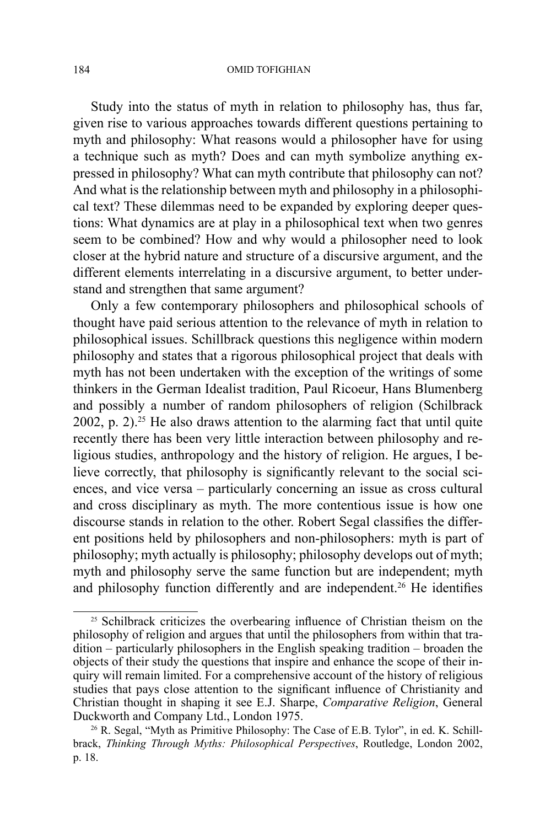#### 184 OMID TOFIGHIAN

Study into the status of myth in relation to philosophy has, thus far, given rise to various approaches towards different questions pertaining to myth and philosophy: What reasons would a philosopher have for using a technique such as myth? Does and can myth symbolize anything expressed in philosophy? What can myth contribute that philosophy can not? And what is the relationship between myth and philosophy in a philosophical text? These dilemmas need to be expanded by exploring deeper questions: What dynamics are at play in a philosophical text when two genres seem to be combined? How and why would a philosopher need to look closer at the hybrid nature and structure of a discursive argument, and the different elements interrelating in a discursive argument, to better understand and strengthen that same argument?

Only a few contemporary philosophers and philosophical schools of thought have paid serious attention to the relevance of myth in relation to philosophical issues. Schillbrack questions this negligence within modern philosophy and states that a rigorous philosophical project that deals with myth has not been undertaken with the exception of the writings of some thinkers in the German Idealist tradition, Paul Ricoeur, Hans Blumenberg and possibly a number of random philosophers of religion (Schilbrack 2002, p.  $2$ ).<sup>25</sup> He also draws attention to the alarming fact that until quite recently there has been very little interaction between philosophy and religious studies, anthropology and the history of religion. He argues, I believe correctly, that philosophy is significantly relevant to the social sciences, and vice versa – particularly concerning an issue as cross cultural and cross disciplinary as myth. The more contentious issue is how one discourse stands in relation to the other. Robert Segal classifies the different positions held by philosophers and non-philosophers: myth is part of philosophy; myth actually is philosophy; philosophy develops out of myth; myth and philosophy serve the same function but are independent; myth and philosophy function differently and are independent.<sup>26</sup> He identifies

<sup>&</sup>lt;sup>25</sup> Schilbrack criticizes the overbearing influence of Christian theism on the philosophy of religion and argues that until the philosophers from within that tradition – particularly philosophers in the English speaking tradition – broaden the objects of their study the questions that inspire and enhance the scope of their inquiry will remain limited. For a comprehensive account of the history of religious studies that pays close attention to the significant influence of Christianity and Christian thought in shaping it see E.J. Sharpe, *Comparative Religion*, General Duckworth and Company Ltd., London 1975.

<sup>&</sup>lt;sup>26</sup> R. Segal, "Myth as Primitive Philosophy: The Case of E.B. Tylor", in ed. K. Schillbrack, *Thinking Through Myths: Philosophical Perspectives*, Routledge, London 2002, p. 18.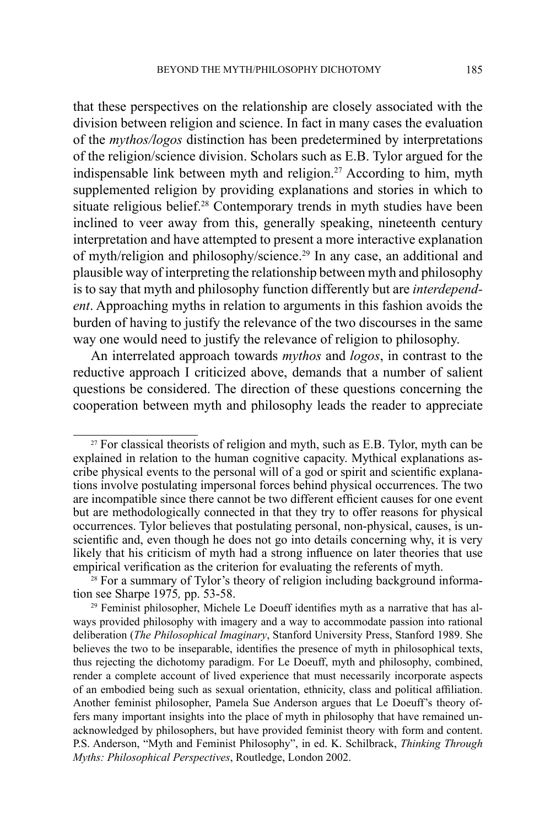that these perspectives on the relationship are closely associated with the division between religion and science. In fact in many cases the evaluation of the *mythos/logos* distinction has been predetermined by interpretations of the religion/science division. Scholars such as E.B. Tylor argued for the indispensable link between myth and religion.<sup>27</sup> According to him, myth supplemented religion by providing explanations and stories in which to situate religious belief.<sup>28</sup> Contemporary trends in myth studies have been inclined to veer away from this, generally speaking, nineteenth century interpretation and have attempted to present a more interactive explanation of myth/religion and philosophy/science.29 In any case, an additional and plausible way of interpreting the relationship between myth and philosophy is to say that myth and philosophy function differently but are *interdependent*. Approaching myths in relation to arguments in this fashion avoids the burden of having to justify the relevance of the two discourses in the same way one would need to justify the relevance of religion to philosophy.

An interrelated approach towards *mythos* and *logos*, in contrast to the reductive approach I criticized above, demands that a number of salient questions be considered. The direction of these questions concerning the cooperation between myth and philosophy leads the reader to appreciate

 $27$  For classical theorists of religion and myth, such as E.B. Tylor, myth can be explained in relation to the human cognitive capacity. Mythical explanations ascribe physical events to the personal will of a god or spirit and scientific explanations involve postulating impersonal forces behind physical occurrences. The two are incompatible since there cannot be two different efficient causes for one event but are methodologically connected in that they try to offer reasons for physical occurrences. Tylor believes that postulating personal, non-physical, causes, is unscientific and, even though he does not go into details concerning why, it is very likely that his criticism of myth had a strong influence on later theories that use empirical verification as the criterion for evaluating the referents of myth.

<sup>&</sup>lt;sup>28</sup> For a summary of Tylor's theory of religion including background information see Sharpe 1975*,* pp. 53-58.

<sup>&</sup>lt;sup>29</sup> Feminist philosopher, Michele Le Doeuff identifies myth as a narrative that has always provided philosophy with imagery and a way to accommodate passion into rational deliberation (*The Philosophical Imaginary*, Stanford University Press, Stanford 1989. She believes the two to be inseparable, identifies the presence of myth in philosophical texts, thus rejecting the dichotomy paradigm. For Le Doeuff, myth and philosophy, combined, render a complete account of lived experience that must necessarily incorporate aspects of an embodied being such as sexual orientation, ethnicity, class and political affiliation. Another feminist philosopher, Pamela Sue Anderson argues that Le Doeuff's theory offers many important insights into the place of myth in philosophy that have remained unacknowledged by philosophers, but have provided feminist theory with form and content. P.S. Anderson, "Myth and Feminist Philosophy", in ed. K. Schilbrack, *Thinking Through Myths: Philosophical Perspectives*, Routledge, London 2002.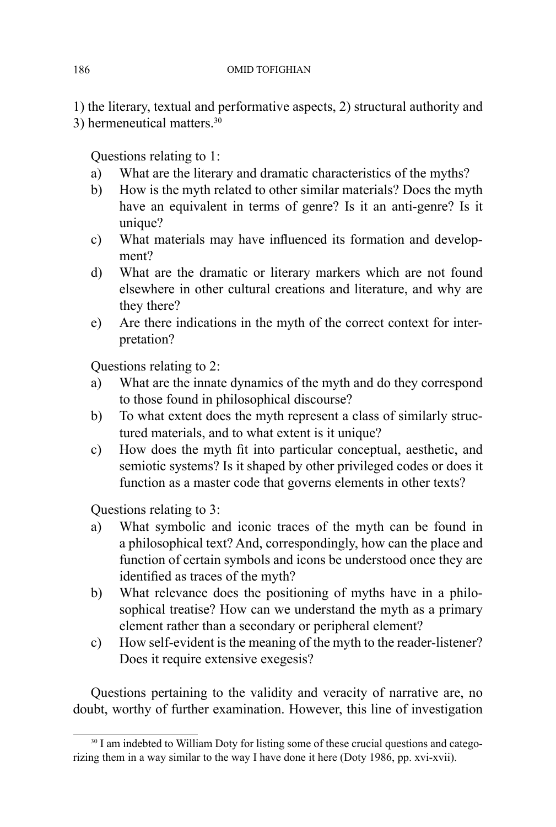1) the literary, textual and performative aspects, 2) structural authority and 3) hermeneutical matters.30

Questions relating to 1:

- a) What are the literary and dramatic characteristics of the myths?
- b) How is the myth related to other similar materials? Does the myth have an equivalent in terms of genre? Is it an anti-genre? Is it unique?
- c) What materials may have influenced its formation and development?
- d) What are the dramatic or literary markers which are not found elsewhere in other cultural creations and literature, and why are they there?
- e) Are there indications in the myth of the correct context for interpretation?

Questions relating to 2:

- a) What are the innate dynamics of the myth and do they correspond to those found in philosophical discourse?
- b) To what extent does the myth represent a class of similarly structured materials, and to what extent is it unique?
- c) How does the myth fit into particular conceptual, aesthetic, and semiotic systems? Is it shaped by other privileged codes or does it function as a master code that governs elements in other texts?

Questions relating to 3:

- a) What symbolic and iconic traces of the myth can be found in a philosophical text? And, correspondingly, how can the place and function of certain symbols and icons be understood once they are identified as traces of the myth?
- b) What relevance does the positioning of myths have in a philosophical treatise? How can we understand the myth as a primary element rather than a secondary or peripheral element?
- c) How self-evident is the meaning of the myth to the reader-listener? Does it require extensive exegesis?

Questions pertaining to the validity and veracity of narrative are, no doubt, worthy of further examination. However, this line of investigation

<sup>&</sup>lt;sup>30</sup> I am indebted to William Doty for listing some of these crucial questions and categorizing them in a way similar to the way I have done it here (Doty 1986, pp. xvi-xvii).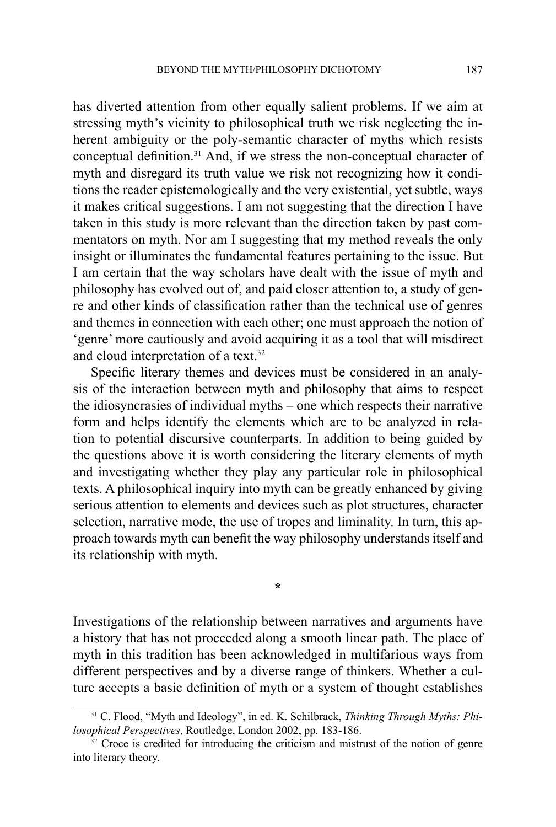has diverted attention from other equally salient problems. If we aim at stressing myth's vicinity to philosophical truth we risk neglecting the inherent ambiguity or the poly-semantic character of myths which resists conceptual definition.31 And, if we stress the non-conceptual character of myth and disregard its truth value we risk not recognizing how it conditions the reader epistemologically and the very existential, yet subtle, ways it makes critical suggestions. I am not suggesting that the direction I have taken in this study is more relevant than the direction taken by past commentators on myth. Nor am I suggesting that my method reveals the only insight or illuminates the fundamental features pertaining to the issue. But I am certain that the way scholars have dealt with the issue of myth and philosophy has evolved out of, and paid closer attention to, a study of genre and other kinds of classification rather than the technical use of genres and themes in connection with each other; one must approach the notion of 'genre' more cautiously and avoid acquiring it as a tool that will misdirect and cloud interpretation of a text.32

Specific literary themes and devices must be considered in an analysis of the interaction between myth and philosophy that aims to respect the idiosyncrasies of individual myths – one which respects their narrative form and helps identify the elements which are to be analyzed in relation to potential discursive counterparts. In addition to being guided by the questions above it is worth considering the literary elements of myth and investigating whether they play any particular role in philosophical texts. A philosophical inquiry into myth can be greatly enhanced by giving serious attention to elements and devices such as plot structures, character selection, narrative mode, the use of tropes and liminality. In turn, this approach towards myth can benefit the way philosophy understands itself and its relationship with myth.

Investigations of the relationship between narratives and arguments have a history that has not proceeded along a smooth linear path. The place of myth in this tradition has been acknowledged in multifarious ways from different perspectives and by a diverse range of thinkers. Whether a culture accepts a basic definition of myth or a system of thought establishes

**\***

<sup>31</sup> C. Flood, "Myth and Ideology", in ed. K. Schilbrack, *Thinking Through Myths: Philosophical Perspectives*, Routledge, London 2002, pp. 183-186.

<sup>&</sup>lt;sup>32</sup> Croce is credited for introducing the criticism and mistrust of the notion of genre into literary theory.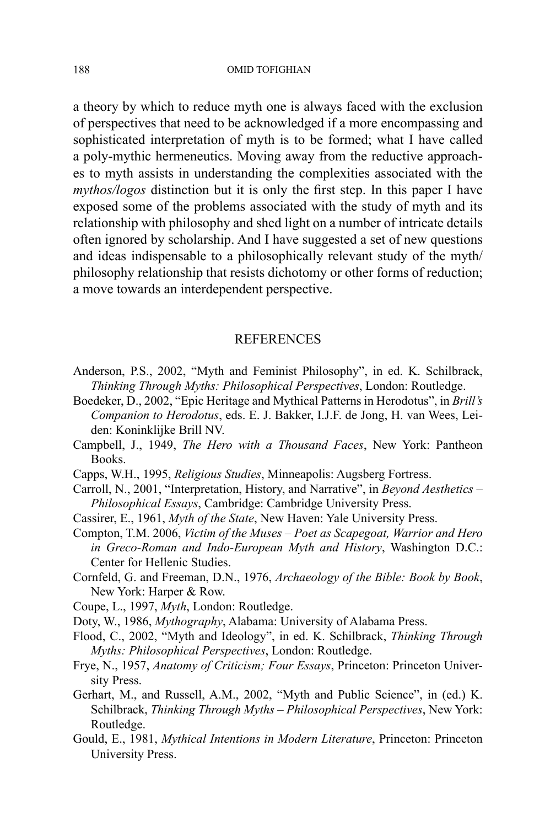a theory by which to reduce myth one is always faced with the exclusion of perspectives that need to be acknowledged if a more encompassing and sophisticated interpretation of myth is to be formed; what I have called a poly-mythic hermeneutics. Moving away from the reductive approaches to myth assists in understanding the complexities associated with the *mythos/logos* distinction but it is only the first step. In this paper I have exposed some of the problems associated with the study of myth and its relationship with philosophy and shed light on a number of intricate details often ignored by scholarship. And I have suggested a set of new questions and ideas indispensable to a philosophically relevant study of the myth/ philosophy relationship that resists dichotomy or other forms of reduction; a move towards an interdependent perspective.

### **REFERENCES**

- Anderson, P.S., 2002, "Myth and Feminist Philosophy", in ed. K. Schilbrack, *Thinking Through Myths: Philosophical Perspectives*, London: Routledge.
- Boedeker, D., 2002, "Epic Heritage and Mythical Patterns in Herodotus", in *Brill's Companion to Herodotus*, eds. E. J. Bakker, I.J.F. de Jong, H. van Wees, Leiden: Koninklijke Brill NV.
- Campbell, J., 1949, *The Hero with a Thousand Faces*, New York: Pantheon Books.
- Capps, W.H., 1995, *Religious Studies*, Minneapolis: Augsberg Fortress.
- Carroll, N., 2001, "Interpretation, History, and Narrative", in *Beyond Aesthetics Philosophical Essays*, Cambridge: Cambridge University Press.
- Cassirer, E., 1961, *Myth of the State*, New Haven: Yale University Press.
- Compton, T.M. 2006, *Victim of the Muses Poet as Scapegoat, Warrior and Hero in Greco-Roman and Indo-European Myth and History*, Washington D.C.: Center for Hellenic Studies.
- Cornfeld, G. and Freeman, D.N., 1976, *Archaeology of the Bible: Book by Book*, New York: Harper & Row.
- Coupe, L., 1997, *Myth*, London: Routledge.
- Doty, W., 1986, *Mythography*, Alabama: University of Alabama Press.
- Flood, C., 2002, "Myth and Ideology", in ed. K. Schilbrack, *Thinking Through Myths: Philosophical Perspectives*, London: Routledge.
- Frye, N., 1957, *Anatomy of Criticism; Four Essays*, Princeton: Princeton University Press.
- Gerhart, M., and Russell, A.M., 2002, "Myth and Public Science", in (ed.) K. Schilbrack, *Thinking Through Myths – Philosophical Perspectives*, New York: Routledge.
- Gould, E., 1981, *Mythical Intentions in Modern Literature*, Princeton: Princeton University Press.